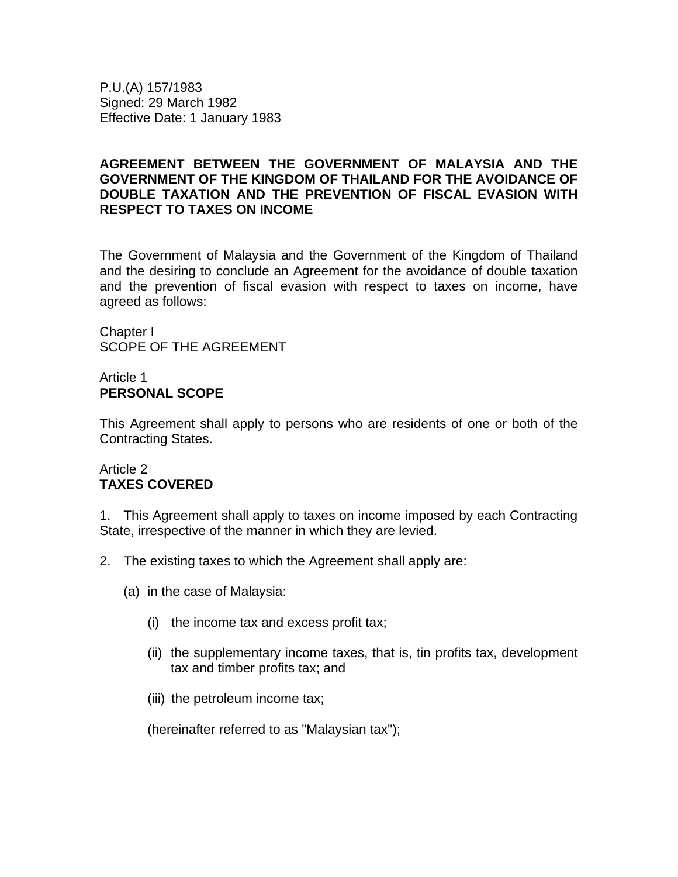P.U.(A) 157/1983 Signed: 29 March 1982 Effective Date: 1 January 1983

## **AGREEMENT BETWEEN THE GOVERNMENT OF MALAYSIA AND THE GOVERNMENT OF THE KINGDOM OF THAILAND FOR THE AVOIDANCE OF DOUBLE TAXATION AND THE PREVENTION OF FISCAL EVASION WITH RESPECT TO TAXES ON INCOME**

The Government of Malaysia and the Government of the Kingdom of Thailand and the desiring to conclude an Agreement for the avoidance of double taxation and the prevention of fiscal evasion with respect to taxes on income, have agreed as follows:

Chapter I SCOPE OF THE AGREEMENT

## Article 1 **PERSONAL SCOPE**

This Agreement shall apply to persons who are residents of one or both of the Contracting States.

## Article 2 **TAXES COVERED**

1. This Agreement shall apply to taxes on income imposed by each Contracting State, irrespective of the manner in which they are levied.

- 2. The existing taxes to which the Agreement shall apply are:
	- (a) in the case of Malaysia:
		- (i) the income tax and excess profit tax;
		- (ii) the supplementary income taxes, that is, tin profits tax, development tax and timber profits tax; and
		- (iii) the petroleum income tax;

(hereinafter referred to as "Malaysian tax");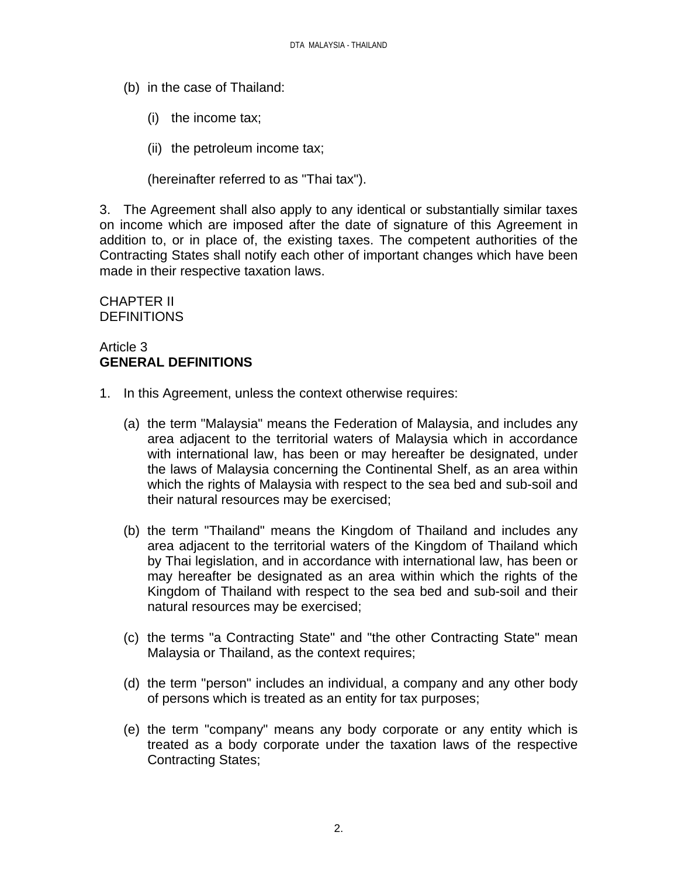- (b) in the case of Thailand:
	- (i) the income tax;
	- (ii) the petroleum income tax;

(hereinafter referred to as "Thai tax").

3. The Agreement shall also apply to any identical or substantially similar taxes on income which are imposed after the date of signature of this Agreement in addition to, or in place of, the existing taxes. The competent authorities of the Contracting States shall notify each other of important changes which have been made in their respective taxation laws.

CHAPTER II **DEFINITIONS** 

## Article 3 **GENERAL DEFINITIONS**

- 1. In this Agreement, unless the context otherwise requires:
	- (a) the term "Malaysia" means the Federation of Malaysia, and includes any area adjacent to the territorial waters of Malaysia which in accordance with international law, has been or may hereafter be designated, under the laws of Malaysia concerning the Continental Shelf, as an area within which the rights of Malaysia with respect to the sea bed and sub-soil and their natural resources may be exercised;
	- (b) the term "Thailand" means the Kingdom of Thailand and includes any area adjacent to the territorial waters of the Kingdom of Thailand which by Thai legislation, and in accordance with international law, has been or may hereafter be designated as an area within which the rights of the Kingdom of Thailand with respect to the sea bed and sub-soil and their natural resources may be exercised;
	- (c) the terms "a Contracting State" and "the other Contracting State" mean Malaysia or Thailand, as the context requires;
	- (d) the term "person" includes an individual, a company and any other body of persons which is treated as an entity for tax purposes;
	- (e) the term "company" means any body corporate or any entity which is treated as a body corporate under the taxation laws of the respective Contracting States;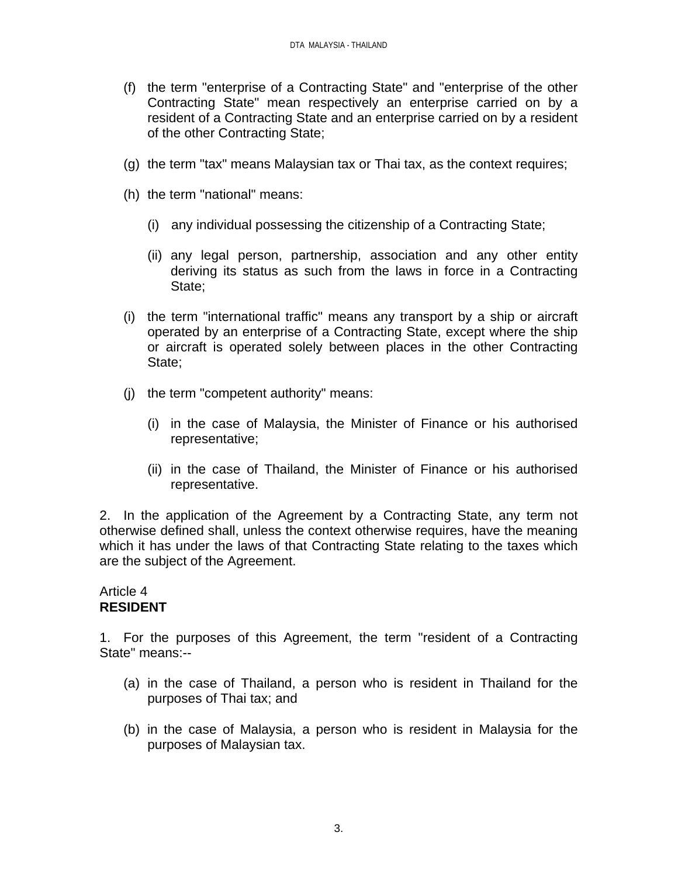- (f) the term "enterprise of a Contracting State" and "enterprise of the other Contracting State" mean respectively an enterprise carried on by a resident of a Contracting State and an enterprise carried on by a resident of the other Contracting State;
- (g) the term "tax" means Malaysian tax or Thai tax, as the context requires;
- (h) the term "national" means:
	- (i) any individual possessing the citizenship of a Contracting State;
	- (ii) any legal person, partnership, association and any other entity deriving its status as such from the laws in force in a Contracting State;
- (i) the term "international traffic" means any transport by a ship or aircraft operated by an enterprise of a Contracting State, except where the ship or aircraft is operated solely between places in the other Contracting State;
- (j) the term "competent authority" means:
	- (i) in the case of Malaysia, the Minister of Finance or his authorised representative;
	- (ii) in the case of Thailand, the Minister of Finance or his authorised representative.

2. In the application of the Agreement by a Contracting State, any term not otherwise defined shall, unless the context otherwise requires, have the meaning which it has under the laws of that Contracting State relating to the taxes which are the subject of the Agreement.

#### Article 4 **RESIDENT**

1. For the purposes of this Agreement, the term "resident of a Contracting State" means:--

- (a) in the case of Thailand, a person who is resident in Thailand for the purposes of Thai tax; and
- (b) in the case of Malaysia, a person who is resident in Malaysia for the purposes of Malaysian tax.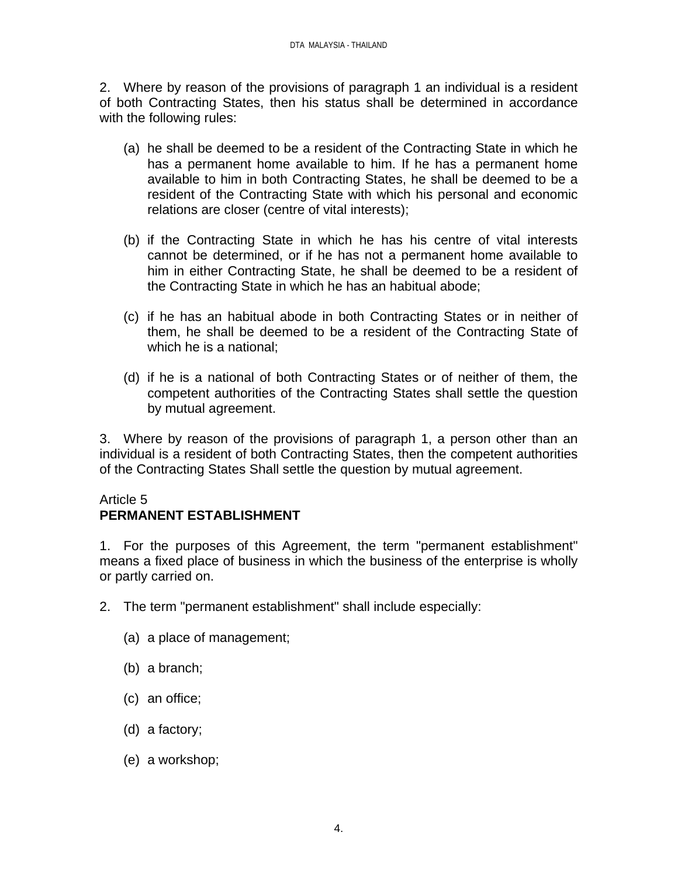2. Where by reason of the provisions of paragraph 1 an individual is a resident of both Contracting States, then his status shall be determined in accordance with the following rules:

- (a) he shall be deemed to be a resident of the Contracting State in which he has a permanent home available to him. If he has a permanent home available to him in both Contracting States, he shall be deemed to be a resident of the Contracting State with which his personal and economic relations are closer (centre of vital interests);
- (b) if the Contracting State in which he has his centre of vital interests cannot be determined, or if he has not a permanent home available to him in either Contracting State, he shall be deemed to be a resident of the Contracting State in which he has an habitual abode;
- (c) if he has an habitual abode in both Contracting States or in neither of them, he shall be deemed to be a resident of the Contracting State of which he is a national;
- (d) if he is a national of both Contracting States or of neither of them, the competent authorities of the Contracting States shall settle the question by mutual agreement.

3. Where by reason of the provisions of paragraph 1, a person other than an individual is a resident of both Contracting States, then the competent authorities of the Contracting States Shall settle the question by mutual agreement.

### Article 5 **PERMANENT ESTABLISHMENT**

1. For the purposes of this Agreement, the term "permanent establishment" means a fixed place of business in which the business of the enterprise is wholly or partly carried on.

- 2. The term "permanent establishment" shall include especially:
	- (a) a place of management;
	- (b) a branch;
	- (c) an office;
	- (d) a factory;
	- (e) a workshop;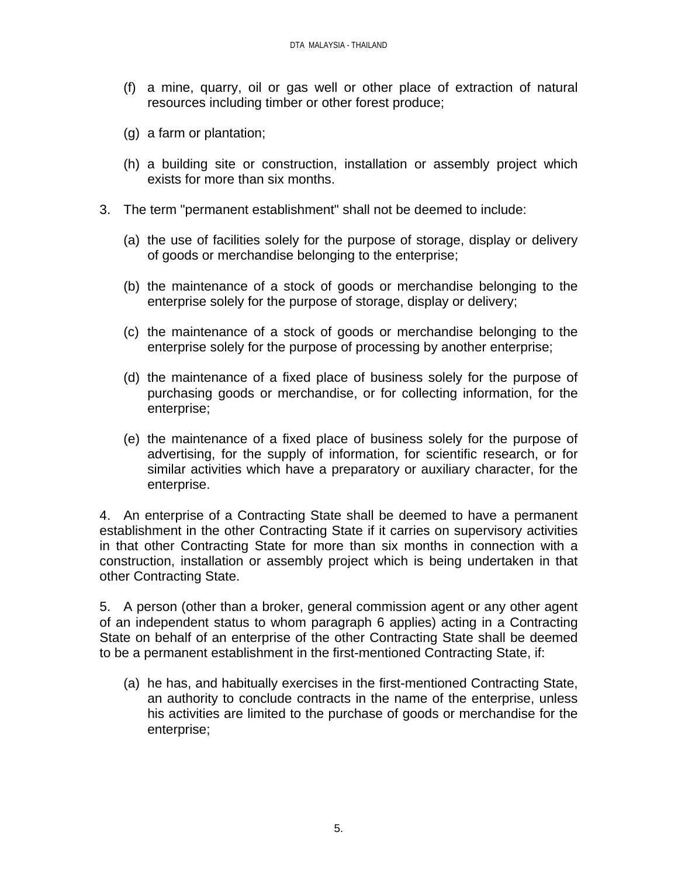- (f) a mine, quarry, oil or gas well or other place of extraction of natural resources including timber or other forest produce;
- (g) a farm or plantation;
- (h) a building site or construction, installation or assembly project which exists for more than six months.
- 3. The term "permanent establishment" shall not be deemed to include:
	- (a) the use of facilities solely for the purpose of storage, display or delivery of goods or merchandise belonging to the enterprise;
	- (b) the maintenance of a stock of goods or merchandise belonging to the enterprise solely for the purpose of storage, display or delivery;
	- (c) the maintenance of a stock of goods or merchandise belonging to the enterprise solely for the purpose of processing by another enterprise;
	- (d) the maintenance of a fixed place of business solely for the purpose of purchasing goods or merchandise, or for collecting information, for the enterprise;
	- (e) the maintenance of a fixed place of business solely for the purpose of advertising, for the supply of information, for scientific research, or for similar activities which have a preparatory or auxiliary character, for the enterprise.

4. An enterprise of a Contracting State shall be deemed to have a permanent establishment in the other Contracting State if it carries on supervisory activities in that other Contracting State for more than six months in connection with a construction, installation or assembly project which is being undertaken in that other Contracting State.

5. A person (other than a broker, general commission agent or any other agent of an independent status to whom paragraph 6 applies) acting in a Contracting State on behalf of an enterprise of the other Contracting State shall be deemed to be a permanent establishment in the first-mentioned Contracting State, if:

(a) he has, and habitually exercises in the first-mentioned Contracting State, an authority to conclude contracts in the name of the enterprise, unless his activities are limited to the purchase of goods or merchandise for the enterprise;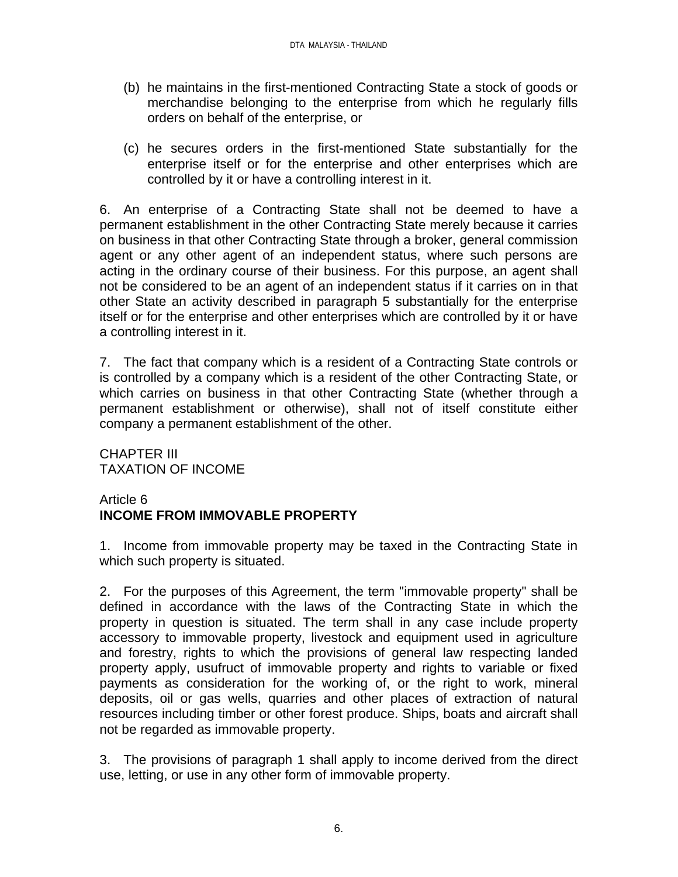- (b) he maintains in the first-mentioned Contracting State a stock of goods or merchandise belonging to the enterprise from which he regularly fills orders on behalf of the enterprise, or
- (c) he secures orders in the first-mentioned State substantially for the enterprise itself or for the enterprise and other enterprises which are controlled by it or have a controlling interest in it.

6. An enterprise of a Contracting State shall not be deemed to have a permanent establishment in the other Contracting State merely because it carries on business in that other Contracting State through a broker, general commission agent or any other agent of an independent status, where such persons are acting in the ordinary course of their business. For this purpose, an agent shall not be considered to be an agent of an independent status if it carries on in that other State an activity described in paragraph 5 substantially for the enterprise itself or for the enterprise and other enterprises which are controlled by it or have a controlling interest in it.

7. The fact that company which is a resident of a Contracting State controls or is controlled by a company which is a resident of the other Contracting State, or which carries on business in that other Contracting State (whether through a permanent establishment or otherwise), shall not of itself constitute either company a permanent establishment of the other.

CHAPTER III TAXATION OF INCOME

### Article 6 **INCOME FROM IMMOVABLE PROPERTY**

1. Income from immovable property may be taxed in the Contracting State in which such property is situated.

2. For the purposes of this Agreement, the term "immovable property" shall be defined in accordance with the laws of the Contracting State in which the property in question is situated. The term shall in any case include property accessory to immovable property, livestock and equipment used in agriculture and forestry, rights to which the provisions of general law respecting landed property apply, usufruct of immovable property and rights to variable or fixed payments as consideration for the working of, or the right to work, mineral deposits, oil or gas wells, quarries and other places of extraction of natural resources including timber or other forest produce. Ships, boats and aircraft shall not be regarded as immovable property.

3. The provisions of paragraph 1 shall apply to income derived from the direct use, letting, or use in any other form of immovable property.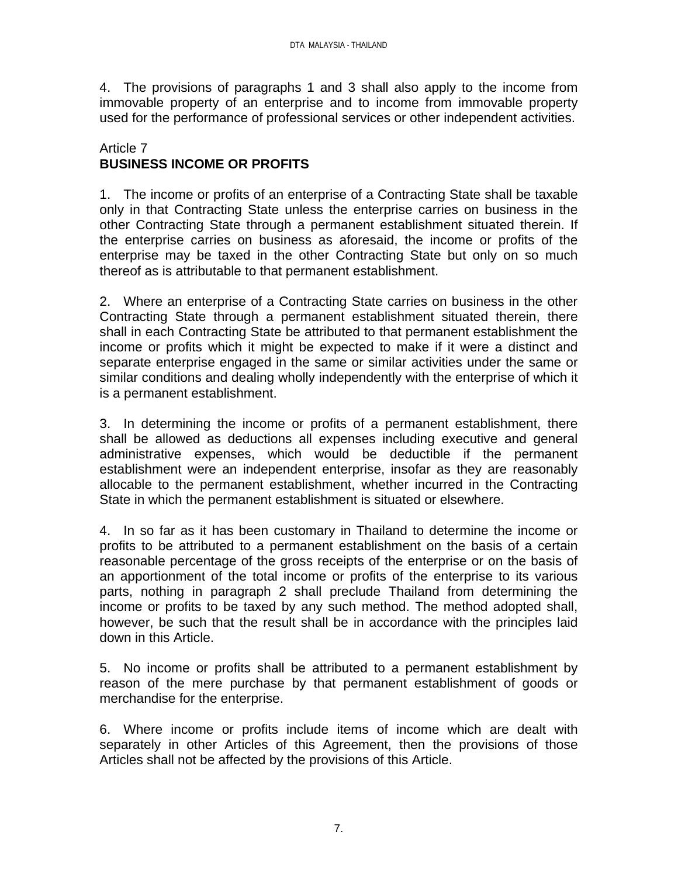4. The provisions of paragraphs 1 and 3 shall also apply to the income from immovable property of an enterprise and to income from immovable property used for the performance of professional services or other independent activities.

## Article 7 **BUSINESS INCOME OR PROFITS**

1. The income or profits of an enterprise of a Contracting State shall be taxable only in that Contracting State unless the enterprise carries on business in the other Contracting State through a permanent establishment situated therein. If the enterprise carries on business as aforesaid, the income or profits of the enterprise may be taxed in the other Contracting State but only on so much thereof as is attributable to that permanent establishment.

2. Where an enterprise of a Contracting State carries on business in the other Contracting State through a permanent establishment situated therein, there shall in each Contracting State be attributed to that permanent establishment the income or profits which it might be expected to make if it were a distinct and separate enterprise engaged in the same or similar activities under the same or similar conditions and dealing wholly independently with the enterprise of which it is a permanent establishment.

3. In determining the income or profits of a permanent establishment, there shall be allowed as deductions all expenses including executive and general administrative expenses, which would be deductible if the permanent establishment were an independent enterprise, insofar as they are reasonably allocable to the permanent establishment, whether incurred in the Contracting State in which the permanent establishment is situated or elsewhere.

4. In so far as it has been customary in Thailand to determine the income or profits to be attributed to a permanent establishment on the basis of a certain reasonable percentage of the gross receipts of the enterprise or on the basis of an apportionment of the total income or profits of the enterprise to its various parts, nothing in paragraph 2 shall preclude Thailand from determining the income or profits to be taxed by any such method. The method adopted shall, however, be such that the result shall be in accordance with the principles laid down in this Article.

5. No income or profits shall be attributed to a permanent establishment by reason of the mere purchase by that permanent establishment of goods or merchandise for the enterprise.

6. Where income or profits include items of income which are dealt with separately in other Articles of this Agreement, then the provisions of those Articles shall not be affected by the provisions of this Article.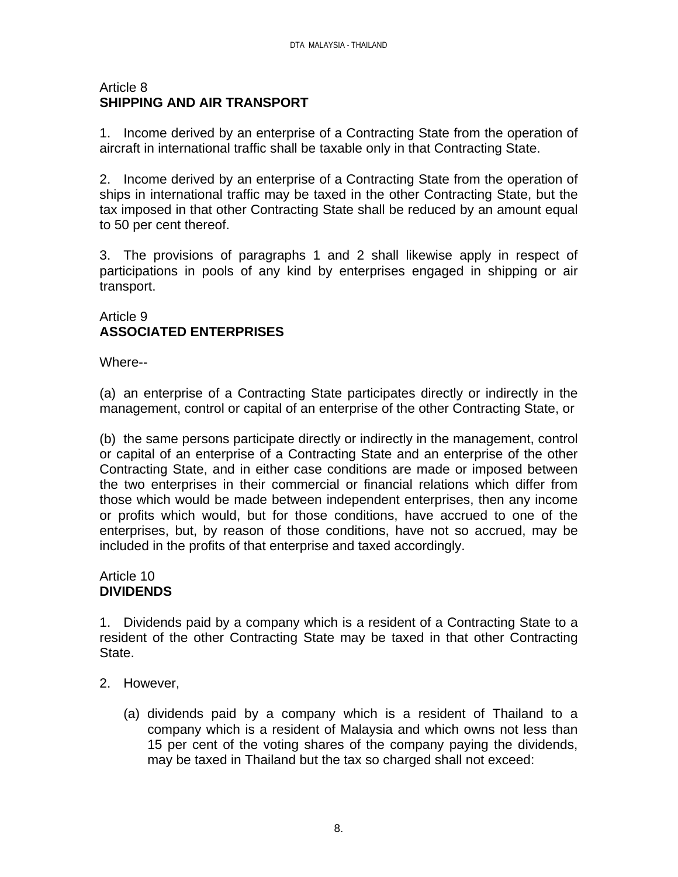### Article 8 **SHIPPING AND AIR TRANSPORT**

1. Income derived by an enterprise of a Contracting State from the operation of aircraft in international traffic shall be taxable only in that Contracting State.

2. Income derived by an enterprise of a Contracting State from the operation of ships in international traffic may be taxed in the other Contracting State, but the tax imposed in that other Contracting State shall be reduced by an amount equal to 50 per cent thereof.

3. The provisions of paragraphs 1 and 2 shall likewise apply in respect of participations in pools of any kind by enterprises engaged in shipping or air transport.

## Article 9 **ASSOCIATED ENTERPRISES**

Where--

(a) an enterprise of a Contracting State participates directly or indirectly in the management, control or capital of an enterprise of the other Contracting State, or

(b) the same persons participate directly or indirectly in the management, control or capital of an enterprise of a Contracting State and an enterprise of the other Contracting State, and in either case conditions are made or imposed between the two enterprises in their commercial or financial relations which differ from those which would be made between independent enterprises, then any income or profits which would, but for those conditions, have accrued to one of the enterprises, but, by reason of those conditions, have not so accrued, may be included in the profits of that enterprise and taxed accordingly.

## Article 10 **DIVIDENDS**

1. Dividends paid by a company which is a resident of a Contracting State to a resident of the other Contracting State may be taxed in that other Contracting State.

- 2. However,
	- (a) dividends paid by a company which is a resident of Thailand to a company which is a resident of Malaysia and which owns not less than 15 per cent of the voting shares of the company paying the dividends, may be taxed in Thailand but the tax so charged shall not exceed: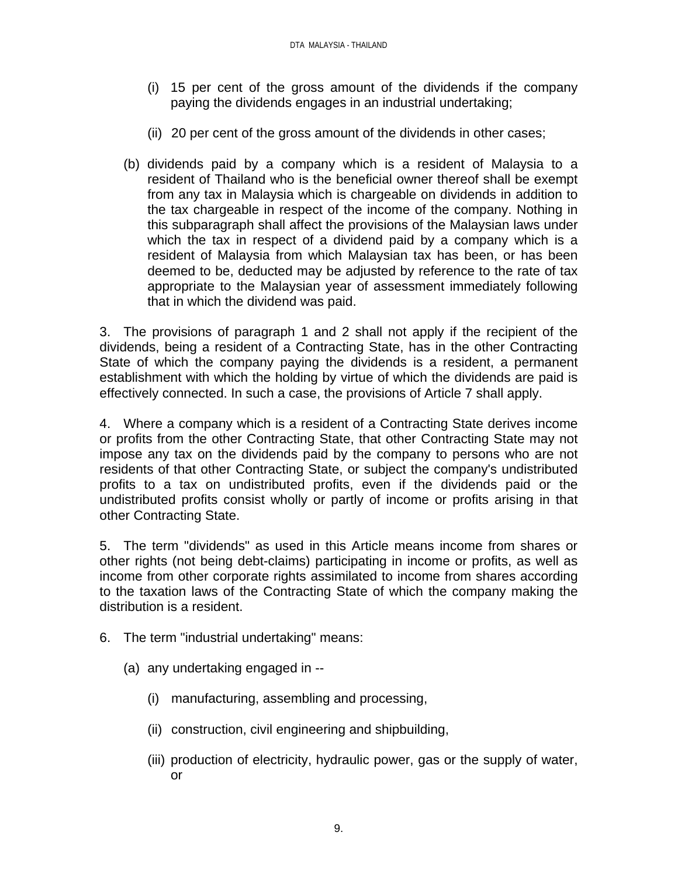- (i) 15 per cent of the gross amount of the dividends if the company paying the dividends engages in an industrial undertaking;
- (ii) 20 per cent of the gross amount of the dividends in other cases;
- (b) dividends paid by a company which is a resident of Malaysia to a resident of Thailand who is the beneficial owner thereof shall be exempt from any tax in Malaysia which is chargeable on dividends in addition to the tax chargeable in respect of the income of the company. Nothing in this subparagraph shall affect the provisions of the Malaysian laws under which the tax in respect of a dividend paid by a company which is a resident of Malaysia from which Malaysian tax has been, or has been deemed to be, deducted may be adjusted by reference to the rate of tax appropriate to the Malaysian year of assessment immediately following that in which the dividend was paid.

3. The provisions of paragraph 1 and 2 shall not apply if the recipient of the dividends, being a resident of a Contracting State, has in the other Contracting State of which the company paying the dividends is a resident, a permanent establishment with which the holding by virtue of which the dividends are paid is effectively connected. In such a case, the provisions of Article 7 shall apply.

4. Where a company which is a resident of a Contracting State derives income or profits from the other Contracting State, that other Contracting State may not impose any tax on the dividends paid by the company to persons who are not residents of that other Contracting State, or subject the company's undistributed profits to a tax on undistributed profits, even if the dividends paid or the undistributed profits consist wholly or partly of income or profits arising in that other Contracting State.

5. The term "dividends" as used in this Article means income from shares or other rights (not being debt-claims) participating in income or profits, as well as income from other corporate rights assimilated to income from shares according to the taxation laws of the Contracting State of which the company making the distribution is a resident.

- 6. The term "industrial undertaking" means:
	- (a) any undertaking engaged in --
		- (i) manufacturing, assembling and processing,
		- (ii) construction, civil engineering and shipbuilding,
		- (iii) production of electricity, hydraulic power, gas or the supply of water, or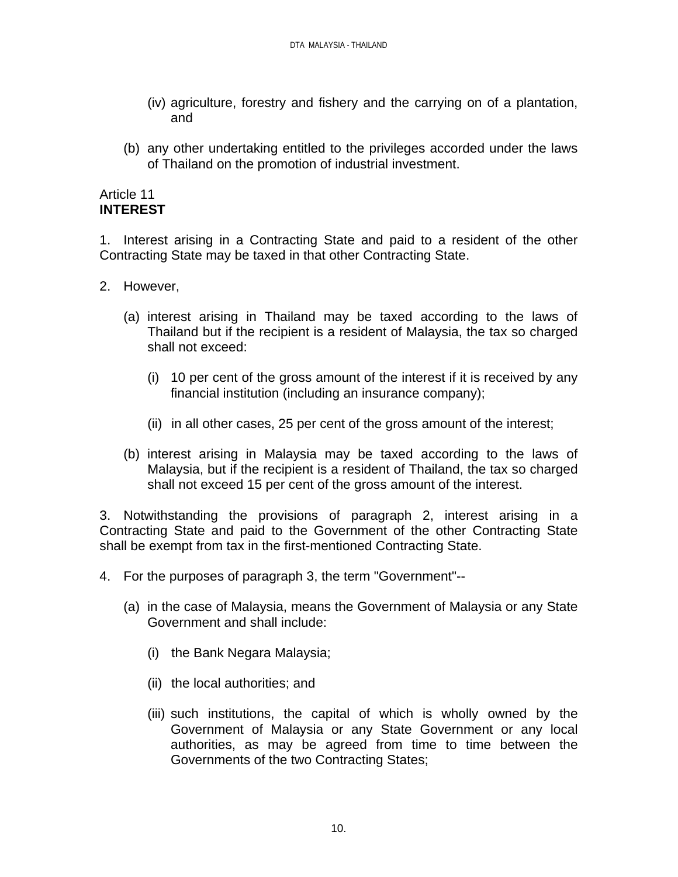- (iv) agriculture, forestry and fishery and the carrying on of a plantation, and
- (b) any other undertaking entitled to the privileges accorded under the laws of Thailand on the promotion of industrial investment.

### Article 11 **INTEREST**

1. Interest arising in a Contracting State and paid to a resident of the other Contracting State may be taxed in that other Contracting State.

- 2. However,
	- (a) interest arising in Thailand may be taxed according to the laws of Thailand but if the recipient is a resident of Malaysia, the tax so charged shall not exceed:
		- (i) 10 per cent of the gross amount of the interest if it is received by any financial institution (including an insurance company);
		- (ii) in all other cases, 25 per cent of the gross amount of the interest;
	- (b) interest arising in Malaysia may be taxed according to the laws of Malaysia, but if the recipient is a resident of Thailand, the tax so charged shall not exceed 15 per cent of the gross amount of the interest.

3. Notwithstanding the provisions of paragraph 2, interest arising in a Contracting State and paid to the Government of the other Contracting State shall be exempt from tax in the first-mentioned Contracting State.

- 4. For the purposes of paragraph 3, the term "Government"--
	- (a) in the case of Malaysia, means the Government of Malaysia or any State Government and shall include:
		- (i) the Bank Negara Malaysia;
		- (ii) the local authorities; and
		- (iii) such institutions, the capital of which is wholly owned by the Government of Malaysia or any State Government or any local authorities, as may be agreed from time to time between the Governments of the two Contracting States;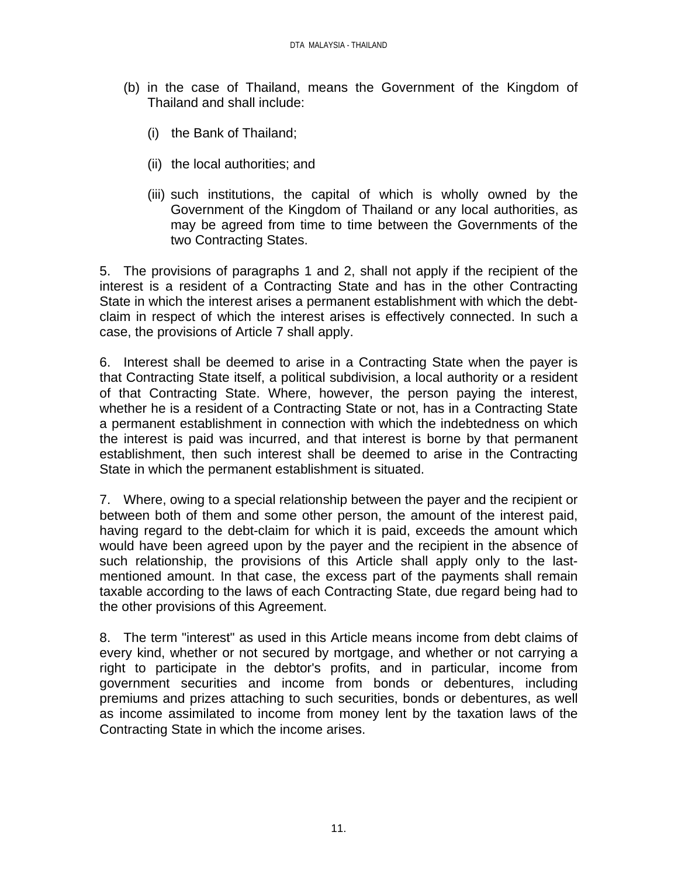- (b) in the case of Thailand, means the Government of the Kingdom of Thailand and shall include:
	- (i) the Bank of Thailand;
	- (ii) the local authorities; and
	- (iii) such institutions, the capital of which is wholly owned by the Government of the Kingdom of Thailand or any local authorities, as may be agreed from time to time between the Governments of the two Contracting States.

5. The provisions of paragraphs 1 and 2, shall not apply if the recipient of the interest is a resident of a Contracting State and has in the other Contracting State in which the interest arises a permanent establishment with which the debtclaim in respect of which the interest arises is effectively connected. In such a case, the provisions of Article 7 shall apply.

6. Interest shall be deemed to arise in a Contracting State when the payer is that Contracting State itself, a political subdivision, a local authority or a resident of that Contracting State. Where, however, the person paying the interest, whether he is a resident of a Contracting State or not, has in a Contracting State a permanent establishment in connection with which the indebtedness on which the interest is paid was incurred, and that interest is borne by that permanent establishment, then such interest shall be deemed to arise in the Contracting State in which the permanent establishment is situated.

7. Where, owing to a special relationship between the payer and the recipient or between both of them and some other person, the amount of the interest paid, having regard to the debt-claim for which it is paid, exceeds the amount which would have been agreed upon by the payer and the recipient in the absence of such relationship, the provisions of this Article shall apply only to the lastmentioned amount. In that case, the excess part of the payments shall remain taxable according to the laws of each Contracting State, due regard being had to the other provisions of this Agreement.

8. The term "interest" as used in this Article means income from debt claims of every kind, whether or not secured by mortgage, and whether or not carrying a right to participate in the debtor's profits, and in particular, income from government securities and income from bonds or debentures, including premiums and prizes attaching to such securities, bonds or debentures, as well as income assimilated to income from money lent by the taxation laws of the Contracting State in which the income arises.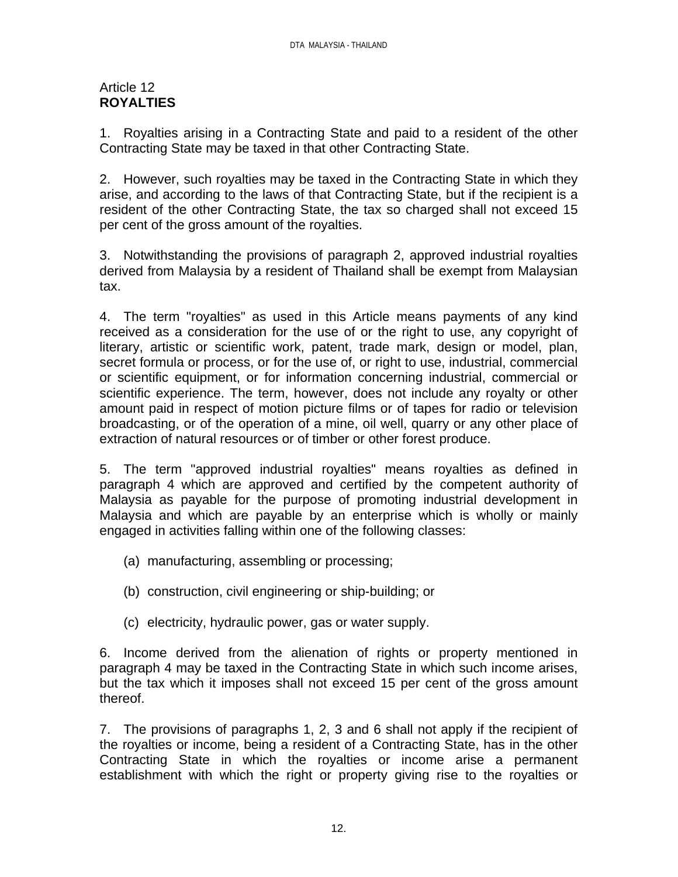### Article 12 **ROYALTIES**

1. Royalties arising in a Contracting State and paid to a resident of the other Contracting State may be taxed in that other Contracting State.

2. However, such royalties may be taxed in the Contracting State in which they arise, and according to the laws of that Contracting State, but if the recipient is a resident of the other Contracting State, the tax so charged shall not exceed 15 per cent of the gross amount of the royalties.

3. Notwithstanding the provisions of paragraph 2, approved industrial royalties derived from Malaysia by a resident of Thailand shall be exempt from Malaysian tax.

4. The term "royalties" as used in this Article means payments of any kind received as a consideration for the use of or the right to use, any copyright of literary, artistic or scientific work, patent, trade mark, design or model, plan, secret formula or process, or for the use of, or right to use, industrial, commercial or scientific equipment, or for information concerning industrial, commercial or scientific experience. The term, however, does not include any royalty or other amount paid in respect of motion picture films or of tapes for radio or television broadcasting, or of the operation of a mine, oil well, quarry or any other place of extraction of natural resources or of timber or other forest produce.

5. The term "approved industrial royalties" means royalties as defined in paragraph 4 which are approved and certified by the competent authority of Malaysia as payable for the purpose of promoting industrial development in Malaysia and which are payable by an enterprise which is wholly or mainly engaged in activities falling within one of the following classes:

- (a) manufacturing, assembling or processing;
- (b) construction, civil engineering or ship-building; or
- (c) electricity, hydraulic power, gas or water supply.

6. Income derived from the alienation of rights or property mentioned in paragraph 4 may be taxed in the Contracting State in which such income arises, but the tax which it imposes shall not exceed 15 per cent of the gross amount thereof.

7. The provisions of paragraphs 1, 2, 3 and 6 shall not apply if the recipient of the royalties or income, being a resident of a Contracting State, has in the other Contracting State in which the royalties or income arise a permanent establishment with which the right or property giving rise to the royalties or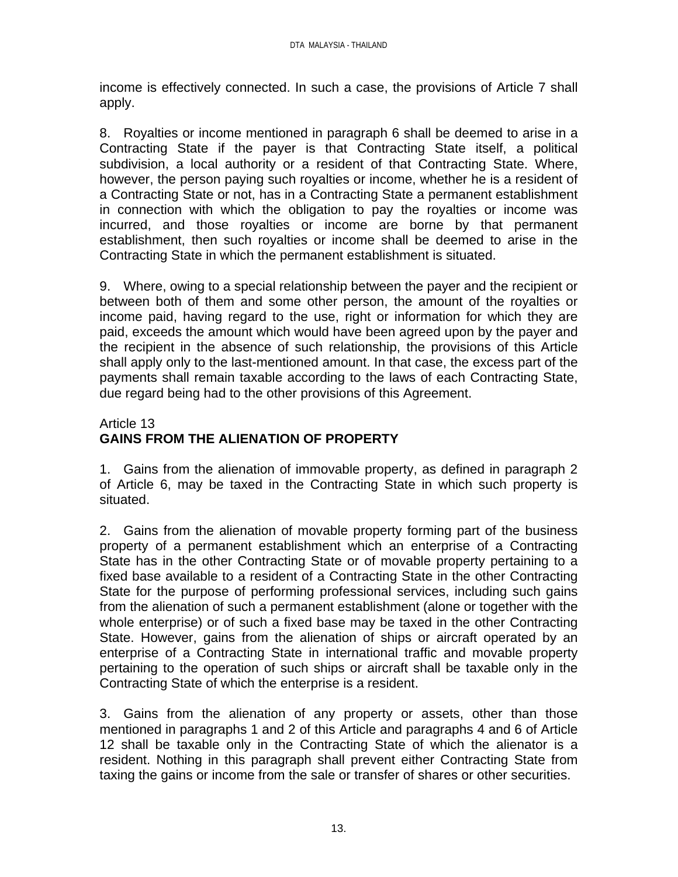income is effectively connected. In such a case, the provisions of Article 7 shall apply.

8. Royalties or income mentioned in paragraph 6 shall be deemed to arise in a Contracting State if the payer is that Contracting State itself, a political subdivision, a local authority or a resident of that Contracting State. Where, however, the person paying such royalties or income, whether he is a resident of a Contracting State or not, has in a Contracting State a permanent establishment in connection with which the obligation to pay the royalties or income was incurred, and those royalties or income are borne by that permanent establishment, then such royalties or income shall be deemed to arise in the Contracting State in which the permanent establishment is situated.

9. Where, owing to a special relationship between the payer and the recipient or between both of them and some other person, the amount of the royalties or income paid, having regard to the use, right or information for which they are paid, exceeds the amount which would have been agreed upon by the payer and the recipient in the absence of such relationship, the provisions of this Article shall apply only to the last-mentioned amount. In that case, the excess part of the payments shall remain taxable according to the laws of each Contracting State, due regard being had to the other provisions of this Agreement.

## Article 13 **GAINS FROM THE ALIENATION OF PROPERTY**

1. Gains from the alienation of immovable property, as defined in paragraph 2 of Article 6, may be taxed in the Contracting State in which such property is situated.

2. Gains from the alienation of movable property forming part of the business property of a permanent establishment which an enterprise of a Contracting State has in the other Contracting State or of movable property pertaining to a fixed base available to a resident of a Contracting State in the other Contracting State for the purpose of performing professional services, including such gains from the alienation of such a permanent establishment (alone or together with the whole enterprise) or of such a fixed base may be taxed in the other Contracting State. However, gains from the alienation of ships or aircraft operated by an enterprise of a Contracting State in international traffic and movable property pertaining to the operation of such ships or aircraft shall be taxable only in the Contracting State of which the enterprise is a resident.

3. Gains from the alienation of any property or assets, other than those mentioned in paragraphs 1 and 2 of this Article and paragraphs 4 and 6 of Article 12 shall be taxable only in the Contracting State of which the alienator is a resident. Nothing in this paragraph shall prevent either Contracting State from taxing the gains or income from the sale or transfer of shares or other securities.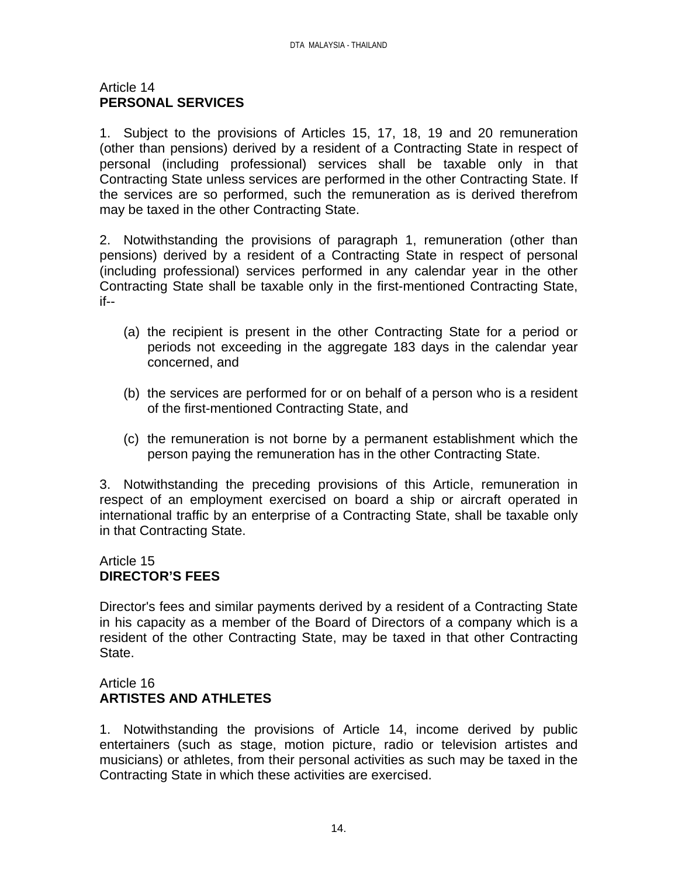#### Article 14 **PERSONAL SERVICES**

1. Subject to the provisions of Articles 15, 17, 18, 19 and 20 remuneration (other than pensions) derived by a resident of a Contracting State in respect of personal (including professional) services shall be taxable only in that Contracting State unless services are performed in the other Contracting State. If the services are so performed, such the remuneration as is derived therefrom may be taxed in the other Contracting State.

2. Notwithstanding the provisions of paragraph 1, remuneration (other than pensions) derived by a resident of a Contracting State in respect of personal (including professional) services performed in any calendar year in the other Contracting State shall be taxable only in the first-mentioned Contracting State, if--

- (a) the recipient is present in the other Contracting State for a period or periods not exceeding in the aggregate 183 days in the calendar year concerned, and
- (b) the services are performed for or on behalf of a person who is a resident of the first-mentioned Contracting State, and
- (c) the remuneration is not borne by a permanent establishment which the person paying the remuneration has in the other Contracting State.

3. Notwithstanding the preceding provisions of this Article, remuneration in respect of an employment exercised on board a ship or aircraft operated in international traffic by an enterprise of a Contracting State, shall be taxable only in that Contracting State.

## Article 15 **DIRECTOR'S FEES**

Director's fees and similar payments derived by a resident of a Contracting State in his capacity as a member of the Board of Directors of a company which is a resident of the other Contracting State, may be taxed in that other Contracting State.

# Article 16 **ARTISTES AND ATHLETES**

1. Notwithstanding the provisions of Article 14, income derived by public entertainers (such as stage, motion picture, radio or television artistes and musicians) or athletes, from their personal activities as such may be taxed in the Contracting State in which these activities are exercised.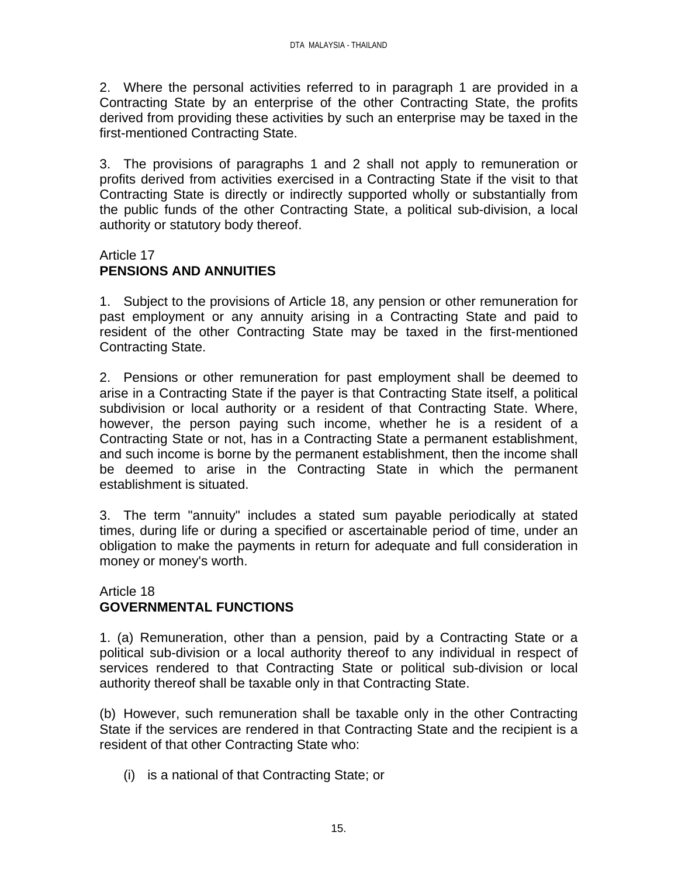2. Where the personal activities referred to in paragraph 1 are provided in a Contracting State by an enterprise of the other Contracting State, the profits derived from providing these activities by such an enterprise may be taxed in the first-mentioned Contracting State.

3. The provisions of paragraphs 1 and 2 shall not apply to remuneration or profits derived from activities exercised in a Contracting State if the visit to that Contracting State is directly or indirectly supported wholly or substantially from the public funds of the other Contracting State, a political sub-division, a local authority or statutory body thereof.

## Article 17 **PENSIONS AND ANNUITIES**

1. Subject to the provisions of Article 18, any pension or other remuneration for past employment or any annuity arising in a Contracting State and paid to resident of the other Contracting State may be taxed in the first-mentioned Contracting State.

2. Pensions or other remuneration for past employment shall be deemed to arise in a Contracting State if the payer is that Contracting State itself, a political subdivision or local authority or a resident of that Contracting State. Where, however, the person paying such income, whether he is a resident of a Contracting State or not, has in a Contracting State a permanent establishment, and such income is borne by the permanent establishment, then the income shall be deemed to arise in the Contracting State in which the permanent establishment is situated.

3. The term "annuity" includes a stated sum payable periodically at stated times, during life or during a specified or ascertainable period of time, under an obligation to make the payments in return for adequate and full consideration in money or money's worth.

### Article 18 **GOVERNMENTAL FUNCTIONS**

1. (a) Remuneration, other than a pension, paid by a Contracting State or a political sub-division or a local authority thereof to any individual in respect of services rendered to that Contracting State or political sub-division or local authority thereof shall be taxable only in that Contracting State.

(b) However, such remuneration shall be taxable only in the other Contracting State if the services are rendered in that Contracting State and the recipient is a resident of that other Contracting State who:

(i) is a national of that Contracting State; or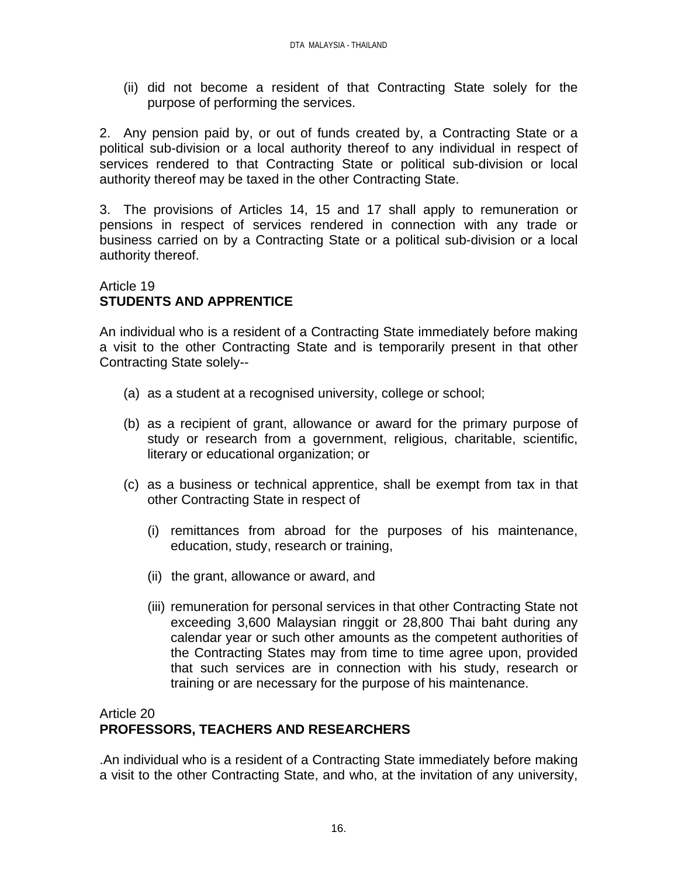(ii) did not become a resident of that Contracting State solely for the purpose of performing the services.

2. Any pension paid by, or out of funds created by, a Contracting State or a political sub-division or a local authority thereof to any individual in respect of services rendered to that Contracting State or political sub-division or local authority thereof may be taxed in the other Contracting State.

3. The provisions of Articles 14, 15 and 17 shall apply to remuneration or pensions in respect of services rendered in connection with any trade or business carried on by a Contracting State or a political sub-division or a local authority thereof.

# Article 19 **STUDENTS AND APPRENTICE**

An individual who is a resident of a Contracting State immediately before making a visit to the other Contracting State and is temporarily present in that other Contracting State solely--

- (a) as a student at a recognised university, college or school;
- (b) as a recipient of grant, allowance or award for the primary purpose of study or research from a government, religious, charitable, scientific, literary or educational organization; or
- (c) as a business or technical apprentice, shall be exempt from tax in that other Contracting State in respect of
	- (i) remittances from abroad for the purposes of his maintenance, education, study, research or training,
	- (ii) the grant, allowance or award, and
	- (iii) remuneration for personal services in that other Contracting State not exceeding 3,600 Malaysian ringgit or 28,800 Thai baht during any calendar year or such other amounts as the competent authorities of the Contracting States may from time to time agree upon, provided that such services are in connection with his study, research or training or are necessary for the purpose of his maintenance.

## Article 20 **PROFESSORS, TEACHERS AND RESEARCHERS**

.An individual who is a resident of a Contracting State immediately before making a visit to the other Contracting State, and who, at the invitation of any university,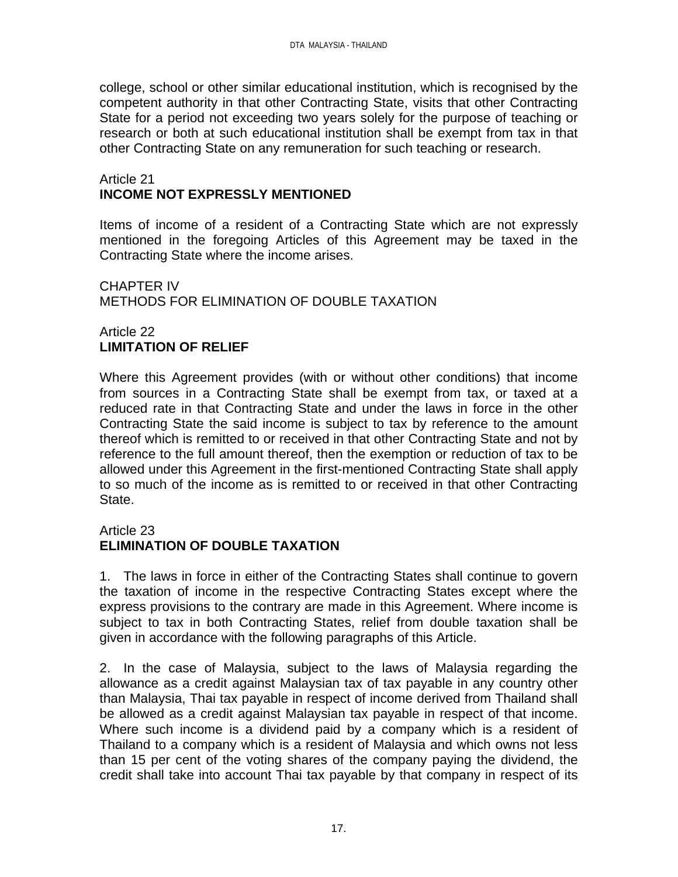college, school or other similar educational institution, which is recognised by the competent authority in that other Contracting State, visits that other Contracting State for a period not exceeding two years solely for the purpose of teaching or research or both at such educational institution shall be exempt from tax in that other Contracting State on any remuneration for such teaching or research.

#### Article 21 **INCOME NOT EXPRESSLY MENTIONED**

Items of income of a resident of a Contracting State which are not expressly mentioned in the foregoing Articles of this Agreement may be taxed in the Contracting State where the income arises.

## CHAPTER IV METHODS FOR ELIMINATION OF DOUBLE TAXATION

## Article 22 **LIMITATION OF RELIEF**

Where this Agreement provides (with or without other conditions) that income from sources in a Contracting State shall be exempt from tax, or taxed at a reduced rate in that Contracting State and under the laws in force in the other Contracting State the said income is subject to tax by reference to the amount thereof which is remitted to or received in that other Contracting State and not by reference to the full amount thereof, then the exemption or reduction of tax to be allowed under this Agreement in the first-mentioned Contracting State shall apply to so much of the income as is remitted to or received in that other Contracting State.

# Article 23

# **ELIMINATION OF DOUBLE TAXATION**

1. The laws in force in either of the Contracting States shall continue to govern the taxation of income in the respective Contracting States except where the express provisions to the contrary are made in this Agreement. Where income is subject to tax in both Contracting States, relief from double taxation shall be given in accordance with the following paragraphs of this Article.

2. In the case of Malaysia, subject to the laws of Malaysia regarding the allowance as a credit against Malaysian tax of tax payable in any country other than Malaysia, Thai tax payable in respect of income derived from Thailand shall be allowed as a credit against Malaysian tax payable in respect of that income. Where such income is a dividend paid by a company which is a resident of Thailand to a company which is a resident of Malaysia and which owns not less than 15 per cent of the voting shares of the company paying the dividend, the credit shall take into account Thai tax payable by that company in respect of its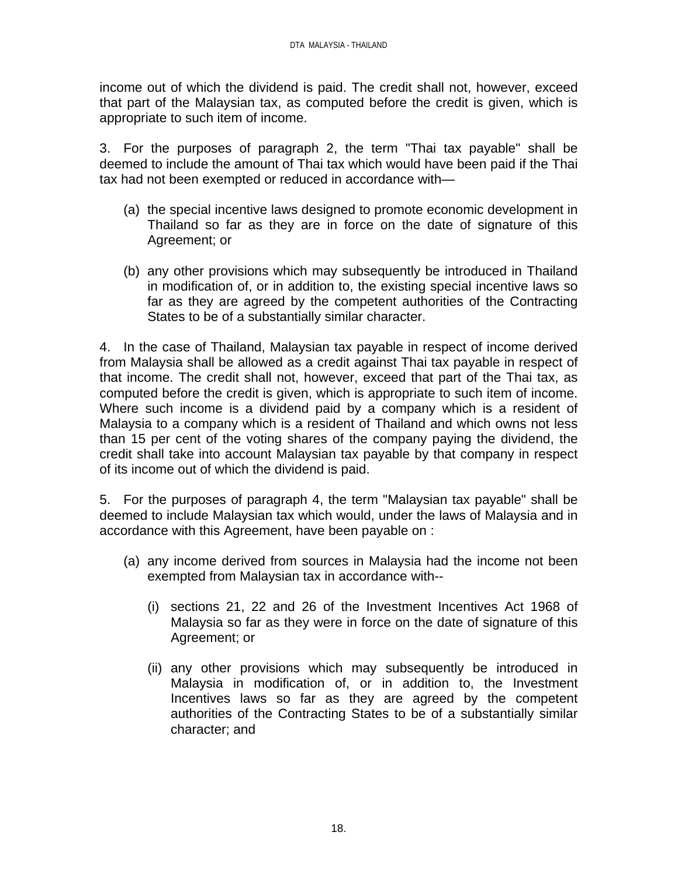income out of which the dividend is paid. The credit shall not, however, exceed that part of the Malaysian tax, as computed before the credit is given, which is appropriate to such item of income.

3. For the purposes of paragraph 2, the term "Thai tax payable" shall be deemed to include the amount of Thai tax which would have been paid if the Thai tax had not been exempted or reduced in accordance with—

- (a) the special incentive laws designed to promote economic development in Thailand so far as they are in force on the date of signature of this Agreement; or
- (b) any other provisions which may subsequently be introduced in Thailand in modification of, or in addition to, the existing special incentive laws so far as they are agreed by the competent authorities of the Contracting States to be of a substantially similar character.

4. In the case of Thailand, Malaysian tax payable in respect of income derived from Malaysia shall be allowed as a credit against Thai tax payable in respect of that income. The credit shall not, however, exceed that part of the Thai tax, as computed before the credit is given, which is appropriate to such item of income. Where such income is a dividend paid by a company which is a resident of Malaysia to a company which is a resident of Thailand and which owns not less than 15 per cent of the voting shares of the company paying the dividend, the credit shall take into account Malaysian tax payable by that company in respect of its income out of which the dividend is paid.

5. For the purposes of paragraph 4, the term "Malaysian tax payable" shall be deemed to include Malaysian tax which would, under the laws of Malaysia and in accordance with this Agreement, have been payable on :

- (a) any income derived from sources in Malaysia had the income not been exempted from Malaysian tax in accordance with--
	- (i) sections 21, 22 and 26 of the Investment Incentives Act 1968 of Malaysia so far as they were in force on the date of signature of this Agreement; or
	- (ii) any other provisions which may subsequently be introduced in Malaysia in modification of, or in addition to, the Investment Incentives laws so far as they are agreed by the competent authorities of the Contracting States to be of a substantially similar character; and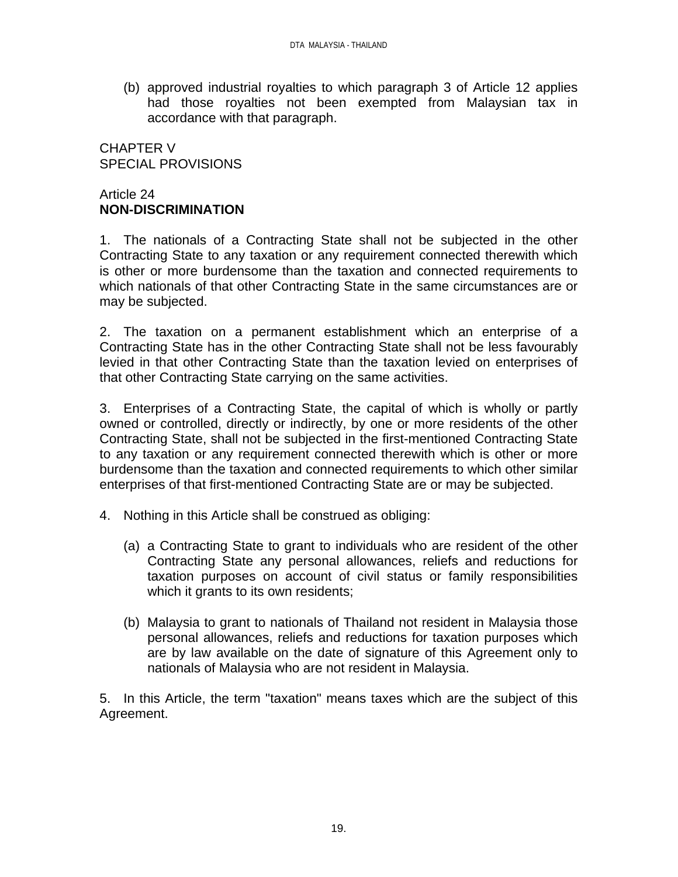(b) approved industrial royalties to which paragraph 3 of Article 12 applies had those royalties not been exempted from Malaysian tax in accordance with that paragraph.

CHAPTER V SPECIAL PROVISIONS

# Article 24 **NON-DISCRIMINATION**

1. The nationals of a Contracting State shall not be subjected in the other Contracting State to any taxation or any requirement connected therewith which is other or more burdensome than the taxation and connected requirements to which nationals of that other Contracting State in the same circumstances are or may be subjected.

2. The taxation on a permanent establishment which an enterprise of a Contracting State has in the other Contracting State shall not be less favourably levied in that other Contracting State than the taxation levied on enterprises of that other Contracting State carrying on the same activities.

3. Enterprises of a Contracting State, the capital of which is wholly or partly owned or controlled, directly or indirectly, by one or more residents of the other Contracting State, shall not be subjected in the first-mentioned Contracting State to any taxation or any requirement connected therewith which is other or more burdensome than the taxation and connected requirements to which other similar enterprises of that first-mentioned Contracting State are or may be subjected.

- 4. Nothing in this Article shall be construed as obliging:
	- (a) a Contracting State to grant to individuals who are resident of the other Contracting State any personal allowances, reliefs and reductions for taxation purposes on account of civil status or family responsibilities which it grants to its own residents;
	- (b) Malaysia to grant to nationals of Thailand not resident in Malaysia those personal allowances, reliefs and reductions for taxation purposes which are by law available on the date of signature of this Agreement only to nationals of Malaysia who are not resident in Malaysia.

5. In this Article, the term "taxation" means taxes which are the subject of this Agreement.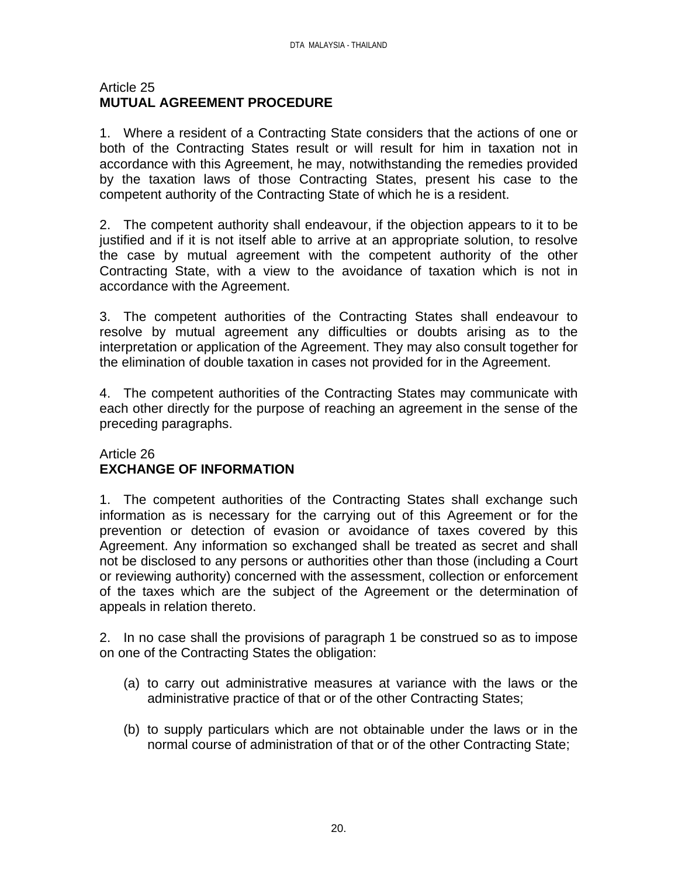### Article 25 **MUTUAL AGREEMENT PROCEDURE**

1. Where a resident of a Contracting State considers that the actions of one or both of the Contracting States result or will result for him in taxation not in accordance with this Agreement, he may, notwithstanding the remedies provided by the taxation laws of those Contracting States, present his case to the competent authority of the Contracting State of which he is a resident.

2. The competent authority shall endeavour, if the objection appears to it to be justified and if it is not itself able to arrive at an appropriate solution, to resolve the case by mutual agreement with the competent authority of the other Contracting State, with a view to the avoidance of taxation which is not in accordance with the Agreement.

3. The competent authorities of the Contracting States shall endeavour to resolve by mutual agreement any difficulties or doubts arising as to the interpretation or application of the Agreement. They may also consult together for the elimination of double taxation in cases not provided for in the Agreement.

4. The competent authorities of the Contracting States may communicate with each other directly for the purpose of reaching an agreement in the sense of the preceding paragraphs.

# Article 26 **EXCHANGE OF INFORMATION**

1. The competent authorities of the Contracting States shall exchange such information as is necessary for the carrying out of this Agreement or for the prevention or detection of evasion or avoidance of taxes covered by this Agreement. Any information so exchanged shall be treated as secret and shall not be disclosed to any persons or authorities other than those (including a Court or reviewing authority) concerned with the assessment, collection or enforcement of the taxes which are the subject of the Agreement or the determination of appeals in relation thereto.

2. In no case shall the provisions of paragraph 1 be construed so as to impose on one of the Contracting States the obligation:

- (a) to carry out administrative measures at variance with the laws or the administrative practice of that or of the other Contracting States;
- (b) to supply particulars which are not obtainable under the laws or in the normal course of administration of that or of the other Contracting State;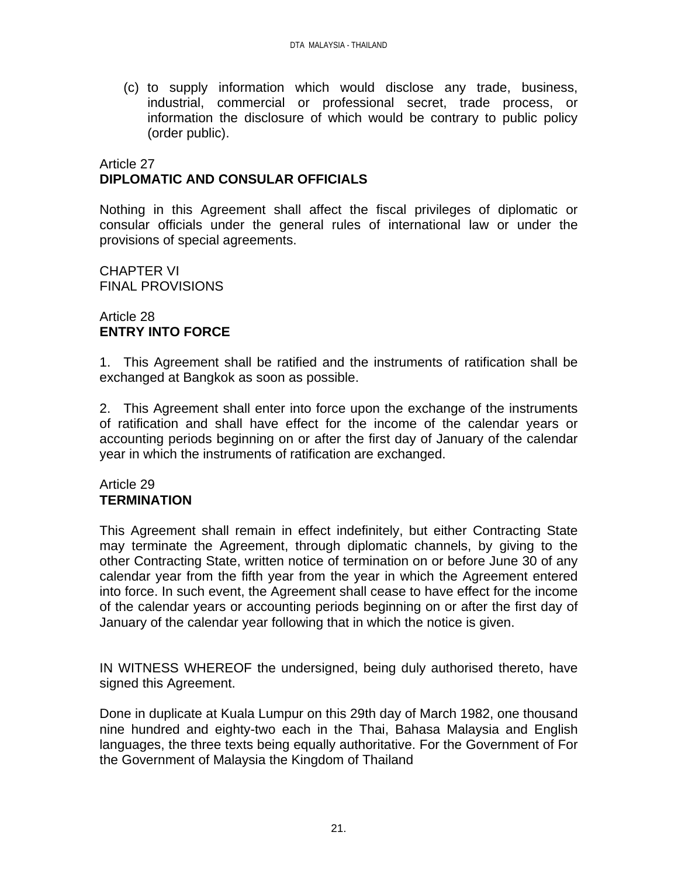(c) to supply information which would disclose any trade, business, industrial, commercial or professional secret, trade process, or information the disclosure of which would be contrary to public policy (order public).

## Article 27 **DIPLOMATIC AND CONSULAR OFFICIALS**

Nothing in this Agreement shall affect the fiscal privileges of diplomatic or consular officials under the general rules of international law or under the provisions of special agreements.

CHAPTER VI FINAL PROVISIONS

## Article 28 **ENTRY INTO FORCE**

1. This Agreement shall be ratified and the instruments of ratification shall be exchanged at Bangkok as soon as possible.

2. This Agreement shall enter into force upon the exchange of the instruments of ratification and shall have effect for the income of the calendar years or accounting periods beginning on or after the first day of January of the calendar year in which the instruments of ratification are exchanged.

### Article 29 **TERMINATION**

This Agreement shall remain in effect indefinitely, but either Contracting State may terminate the Agreement, through diplomatic channels, by giving to the other Contracting State, written notice of termination on or before June 30 of any calendar year from the fifth year from the year in which the Agreement entered into force. In such event, the Agreement shall cease to have effect for the income of the calendar years or accounting periods beginning on or after the first day of January of the calendar year following that in which the notice is given.

IN WITNESS WHEREOF the undersigned, being duly authorised thereto, have signed this Agreement.

Done in duplicate at Kuala Lumpur on this 29th day of March 1982, one thousand nine hundred and eighty-two each in the Thai, Bahasa Malaysia and English languages, the three texts being equally authoritative. For the Government of For the Government of Malaysia the Kingdom of Thailand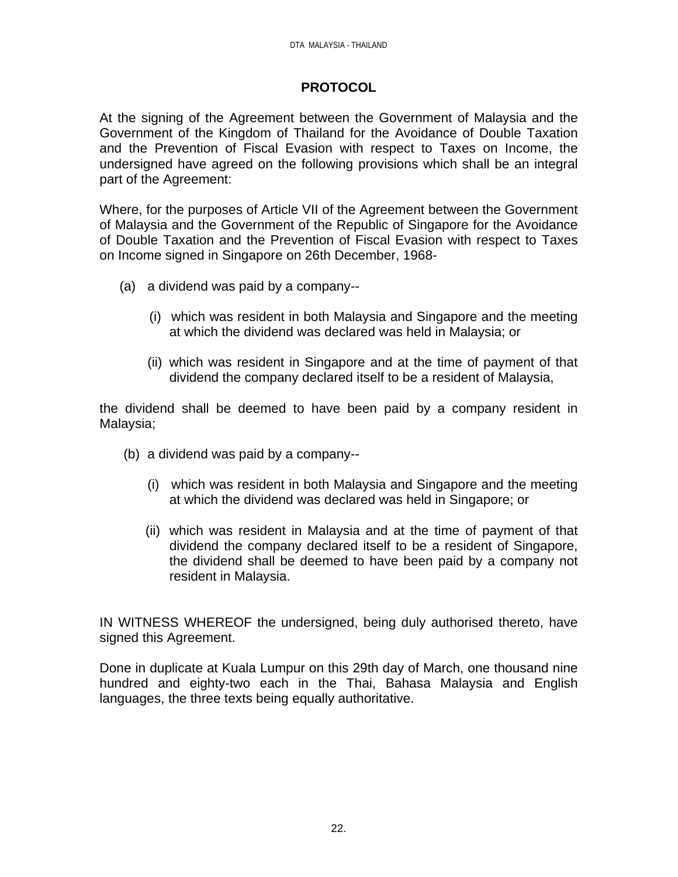## **PROTOCOL**

At the signing of the Agreement between the Government of Malaysia and the Government of the Kingdom of Thailand for the Avoidance of Double Taxation and the Prevention of Fiscal Evasion with respect to Taxes on Income, the undersigned have agreed on the following provisions which shall be an integral part of the Agreement:

Where, for the purposes of Article VII of the Agreement between the Government of Malaysia and the Government of the Republic of Singapore for the Avoidance of Double Taxation and the Prevention of Fiscal Evasion with respect to Taxes on Income signed in Singapore on 26th December, 1968-

- (a) a dividend was paid by a company--
	- (i) which was resident in both Malaysia and Singapore and the meeting at which the dividend was declared was held in Malaysia; or
	- (ii) which was resident in Singapore and at the time of payment of that dividend the company declared itself to be a resident of Malaysia,

the dividend shall be deemed to have been paid by a company resident in Malaysia;

- (b) a dividend was paid by a company--
	- (i) which was resident in both Malaysia and Singapore and the meeting at which the dividend was declared was held in Singapore; or
	- (ii) which was resident in Malaysia and at the time of payment of that dividend the company declared itself to be a resident of Singapore, the dividend shall be deemed to have been paid by a company not resident in Malaysia.

IN WITNESS WHEREOF the undersigned, being duly authorised thereto, have signed this Agreement.

Done in duplicate at Kuala Lumpur on this 29th day of March, one thousand nine hundred and eighty-two each in the Thai, Bahasa Malaysia and English languages, the three texts being equally authoritative.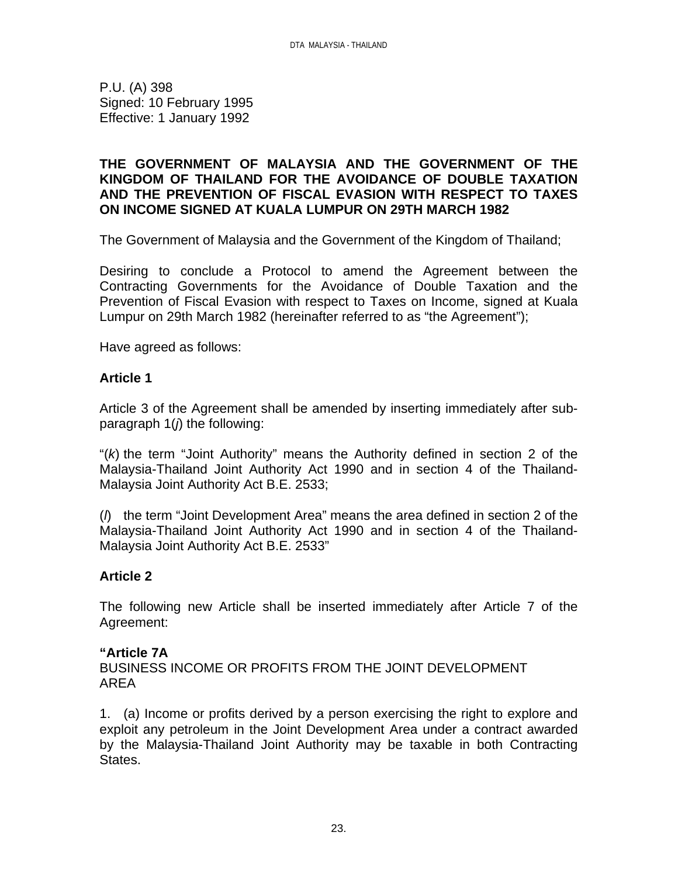P.U. (A) 398 Signed: 10 February 1995 Effective: 1 January 1992

## **THE GOVERNMENT OF MALAYSIA AND THE GOVERNMENT OF THE KINGDOM OF THAILAND FOR THE AVOIDANCE OF DOUBLE TAXATION AND THE PREVENTION OF FISCAL EVASION WITH RESPECT TO TAXES ON INCOME SIGNED AT KUALA LUMPUR ON 29TH MARCH 1982**

The Government of Malaysia and the Government of the Kingdom of Thailand;

Desiring to conclude a Protocol to amend the Agreement between the Contracting Governments for the Avoidance of Double Taxation and the Prevention of Fiscal Evasion with respect to Taxes on Income, signed at Kuala Lumpur on 29th March 1982 (hereinafter referred to as "the Agreement");

Have agreed as follows:

### **Article 1**

Article 3 of the Agreement shall be amended by inserting immediately after subparagraph 1(*j*) the following:

"(*k*) the term "Joint Authority" means the Authority defined in section 2 of the Malaysia-Thailand Joint Authority Act 1990 and in section 4 of the Thailand-Malaysia Joint Authority Act B.E. 2533;

(*l*) the term "Joint Development Area" means the area defined in section 2 of the Malaysia-Thailand Joint Authority Act 1990 and in section 4 of the Thailand-Malaysia Joint Authority Act B.E. 2533"

# **Article 2**

The following new Article shall be inserted immediately after Article 7 of the Agreement:

### **"Article 7A**

BUSINESS INCOME OR PROFITS FROM THE JOINT DEVELOPMENT AREA

1. (a) Income or profits derived by a person exercising the right to explore and exploit any petroleum in the Joint Development Area under a contract awarded by the Malaysia-Thailand Joint Authority may be taxable in both Contracting States.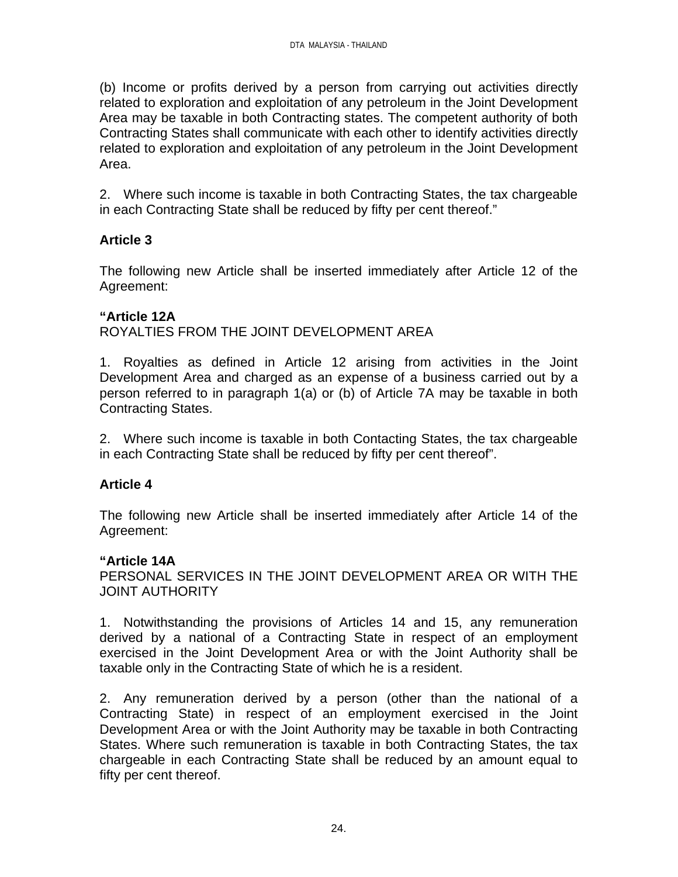(b) Income or profits derived by a person from carrying out activities directly related to exploration and exploitation of any petroleum in the Joint Development Area may be taxable in both Contracting states. The competent authority of both Contracting States shall communicate with each other to identify activities directly related to exploration and exploitation of any petroleum in the Joint Development Area.

2. Where such income is taxable in both Contracting States, the tax chargeable in each Contracting State shall be reduced by fifty per cent thereof."

## **Article 3**

The following new Article shall be inserted immediately after Article 12 of the Agreement:

#### **"Article 12A**

ROYALTIES FROM THE JOINT DEVELOPMENT AREA

1. Royalties as defined in Article 12 arising from activities in the Joint Development Area and charged as an expense of a business carried out by a person referred to in paragraph 1(a) or (b) of Article 7A may be taxable in both Contracting States.

2. Where such income is taxable in both Contacting States, the tax chargeable in each Contracting State shall be reduced by fifty per cent thereof".

### **Article 4**

The following new Article shall be inserted immediately after Article 14 of the Agreement:

#### **"Article 14A**

PERSONAL SERVICES IN THE JOINT DEVELOPMENT AREA OR WITH THE JOINT AUTHORITY

1. Notwithstanding the provisions of Articles 14 and 15, any remuneration derived by a national of a Contracting State in respect of an employment exercised in the Joint Development Area or with the Joint Authority shall be taxable only in the Contracting State of which he is a resident.

2. Any remuneration derived by a person (other than the national of a Contracting State) in respect of an employment exercised in the Joint Development Area or with the Joint Authority may be taxable in both Contracting States. Where such remuneration is taxable in both Contracting States, the tax chargeable in each Contracting State shall be reduced by an amount equal to fifty per cent thereof.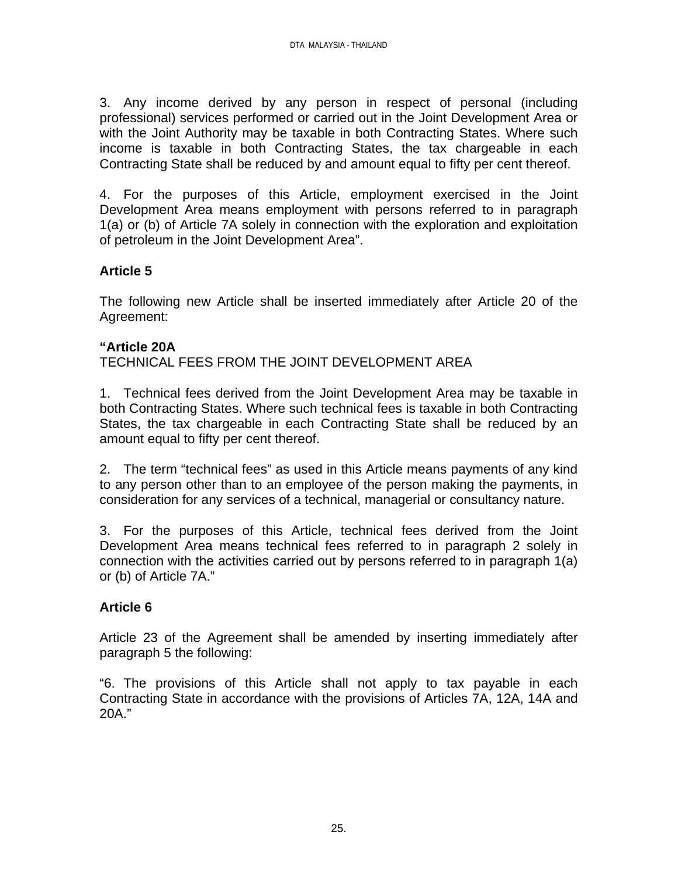3. Any income derived by any person in respect of personal (including professional) services performed or carried out in the Joint Development Area or with the Joint Authority may be taxable in both Contracting States. Where such income is taxable in both Contracting States, the tax chargeable in each Contracting State shall be reduced by and amount equal to fifty per cent thereof.

4. For the purposes of this Article, employment exercised in the Joint Development Area means employment with persons referred to in paragraph 1(a) or (b) of Article 7A solely in connection with the exploration and exploitation of petroleum in the Joint Development Area".

# **Article 5**

The following new Article shall be inserted immediately after Article 20 of the Agreement:

### **"Article 20A**

TECHNICAL FEES FROM THE JOINT DEVELOPMENT AREA

1. Technical fees derived from the Joint Development Area may be taxable in both Contracting States. Where such technical fees is taxable in both Contracting States, the tax chargeable in each Contracting State shall be reduced by an amount equal to fifty per cent thereof.

2. The term "technical fees" as used in this Article means payments of any kind to any person other than to an employee of the person making the payments, in consideration for any services of a technical, managerial or consultancy nature.

3. For the purposes of this Article, technical fees derived from the Joint Development Area means technical fees referred to in paragraph 2 solely in connection with the activities carried out by persons referred to in paragraph 1(a) or (b) of Article 7A."

### **Article 6**

Article 23 of the Agreement shall be amended by inserting immediately after paragraph 5 the following:

"6. The provisions of this Article shall not apply to tax payable in each Contracting State in accordance with the provisions of Articles 7A, 12A, 14A and 20A."